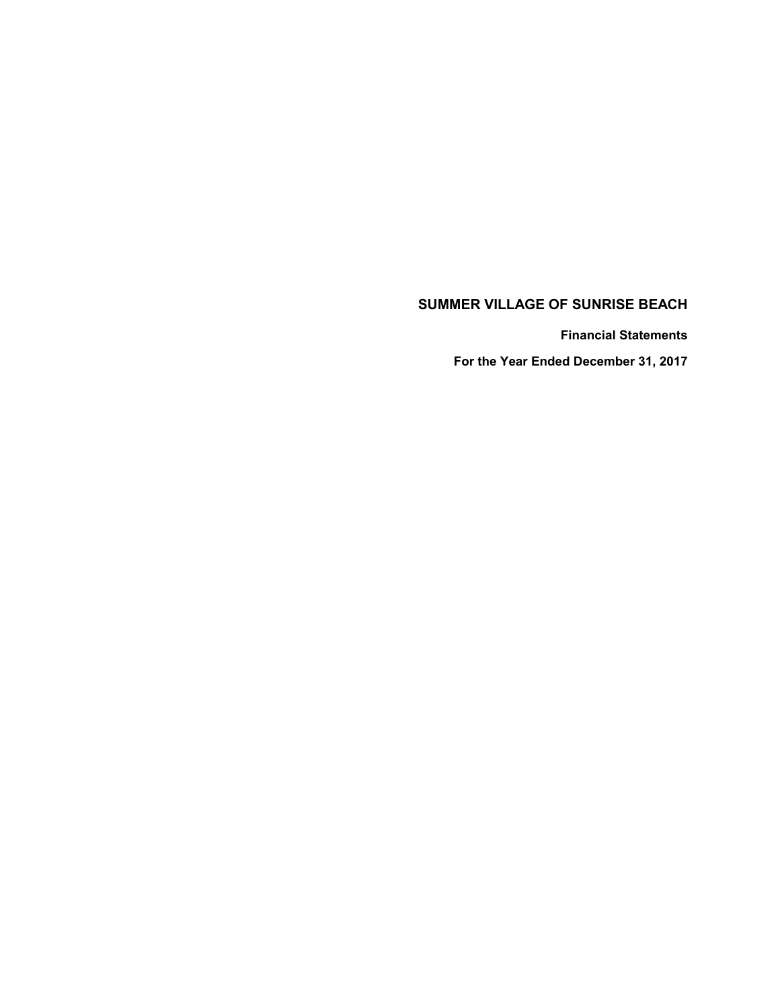# **SUMMER VILLAGE OF SUNRISE BEACH**

 **Financial Statements**

 **For the Year Ended December 31, 2017**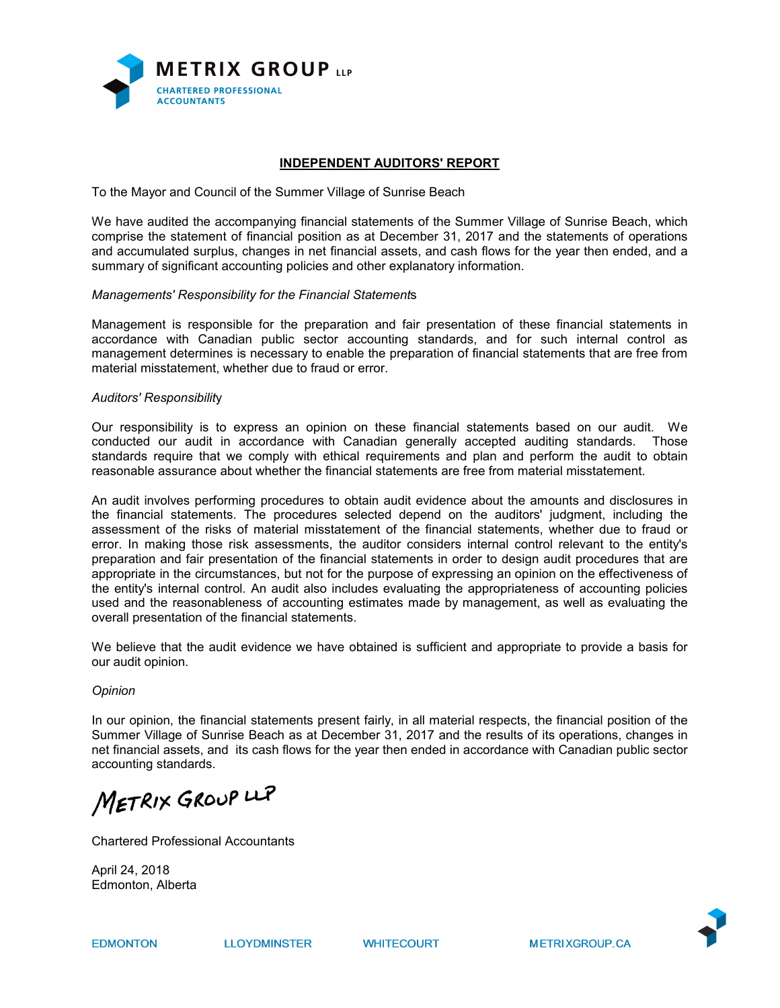

# **INDEPENDENT AUDITORS' REPORT**

To the Mayor and Council of the Summer Village of Sunrise Beach

We have audited the accompanying financial statements of the Summer Village of Sunrise Beach, which comprise the statement of financial position as at December 31, 2017 and the statements of operations and accumulated surplus, changes in net financial assets, and cash flows for the year then ended, and a summary of significant accounting policies and other explanatory information.

#### *Managements' Responsibility for the Financial Statement*s

Management is responsible for the preparation and fair presentation of these financial statements in accordance with Canadian public sector accounting standards, and for such internal control as management determines is necessary to enable the preparation of financial statements that are free from material misstatement, whether due to fraud or error.

#### *Auditors' Responsibilit*y

Our responsibility is to express an opinion on these financial statements based on our audit. We conducted our audit in accordance with Canadian generally accepted auditing standards. Those standards require that we comply with ethical requirements and plan and perform the audit to obtain reasonable assurance about whether the financial statements are free from material misstatement.

An audit involves performing procedures to obtain audit evidence about the amounts and disclosures in the financial statements. The procedures selected depend on the auditors' judgment, including the assessment of the risks of material misstatement of the financial statements, whether due to fraud or error. In making those risk assessments, the auditor considers internal control relevant to the entity's preparation and fair presentation of the financial statements in order to design audit procedures that are appropriate in the circumstances, but not for the purpose of expressing an opinion on the effectiveness of the entity's internal control. An audit also includes evaluating the appropriateness of accounting policies used and the reasonableness of accounting estimates made by management, as well as evaluating the overall presentation of the financial statements.

We believe that the audit evidence we have obtained is sufficient and appropriate to provide a basis for our audit opinion.

#### *Opinion*

In our opinion, the financial statements present fairly, in all material respects, the financial position of the Summer Village of Sunrise Beach as at December 31, 2017 and the results of its operations, changes in net financial assets, and its cash flows for the year then ended in accordance with Canadian public sector accounting standards.

METRIX GROUP LLP

Chartered Professional Accountants

April 24, 2018 Edmonton, Alberta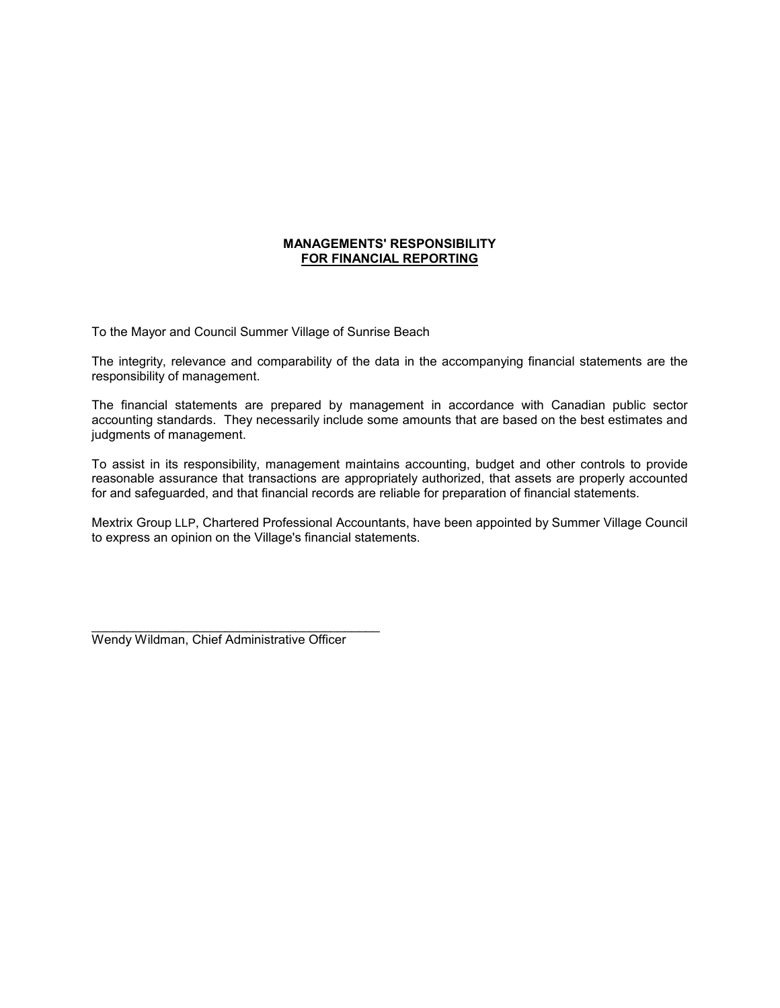# **MANAGEMENTS' RESPONSIBILITY FOR FINANCIAL REPORTING**

To the Mayor and Council Summer Village of Sunrise Beach

The integrity, relevance and comparability of the data in the accompanying financial statements are the responsibility of management.

The financial statements are prepared by management in accordance with Canadian public sector accounting standards. They necessarily include some amounts that are based on the best estimates and judgments of management.

To assist in its responsibility, management maintains accounting, budget and other controls to provide reasonable assurance that transactions are appropriately authorized, that assets are properly accounted for and safeguarded, and that financial records are reliable for preparation of financial statements.

Mextrix Group LLP, Chartered Professional Accountants, have been appointed by Summer Village Council to express an opinion on the Village's financial statements.

Wendy Wildman, Chief Administrative Officer

 $\_$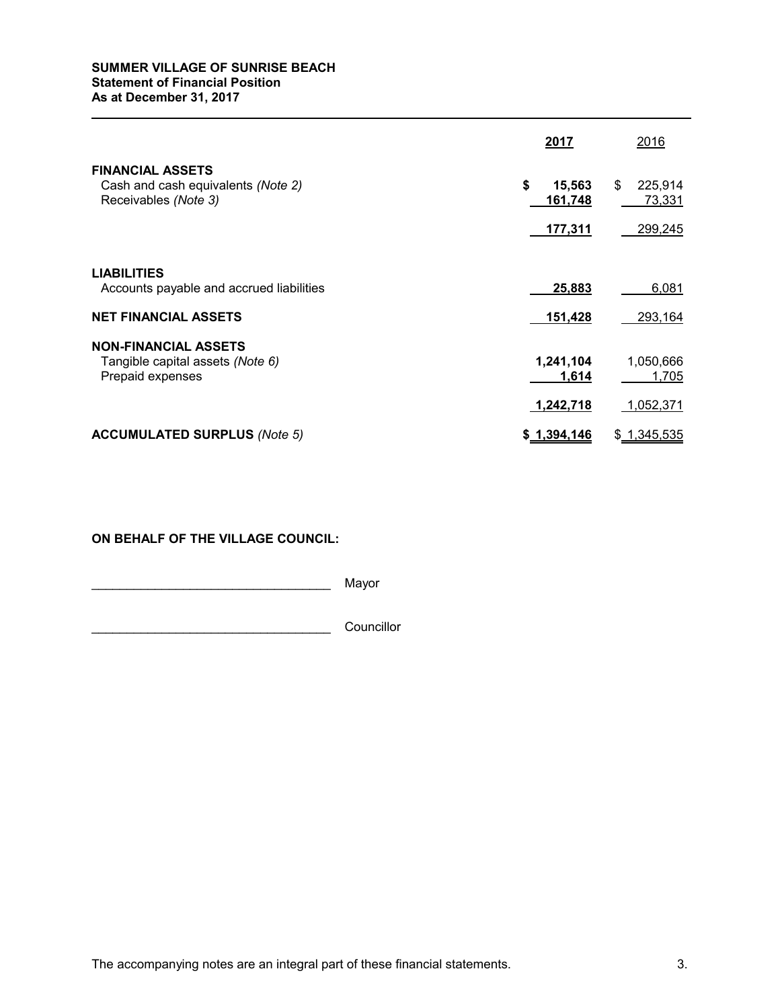# **SUMMER VILLAGE OF SUNRISE BEACH Statement of Financial Position**

**As at December 31, 2017** 

|                                                                                       | 2017                    | 2016                    |
|---------------------------------------------------------------------------------------|-------------------------|-------------------------|
| <b>FINANCIAL ASSETS</b><br>Cash and cash equivalents (Note 2)<br>Receivables (Note 3) | \$<br>15,563<br>161,748 | \$<br>225,914<br>73,331 |
|                                                                                       | 177,311                 | 299,245                 |
| <b>LIABILITIES</b>                                                                    |                         |                         |
| Accounts payable and accrued liabilities                                              | 25,883                  | 6,081                   |
| <b>NET FINANCIAL ASSETS</b>                                                           | 151,428                 | 293,164                 |
| <b>NON-FINANCIAL ASSETS</b>                                                           |                         |                         |
| Tangible capital assets (Note 6)<br>Prepaid expenses                                  | 1,241,104<br>1,614      | 1,050,666<br>1,705      |
|                                                                                       | 1,242,718               | 1,052,371               |
| <b>ACCUMULATED SURPLUS (Note 5)</b>                                                   | \$1,394,146             | \$1,345,535             |

**ON BEHALF OF THE VILLAGE COUNCIL:**

\_\_\_\_\_\_\_\_\_\_\_\_\_\_\_\_\_\_\_\_\_\_\_\_\_\_\_\_\_\_\_\_\_\_ Mayor

\_\_\_\_\_\_\_\_\_\_\_\_\_\_\_\_\_\_\_\_\_\_\_\_\_\_\_\_\_\_\_\_\_\_ Councillor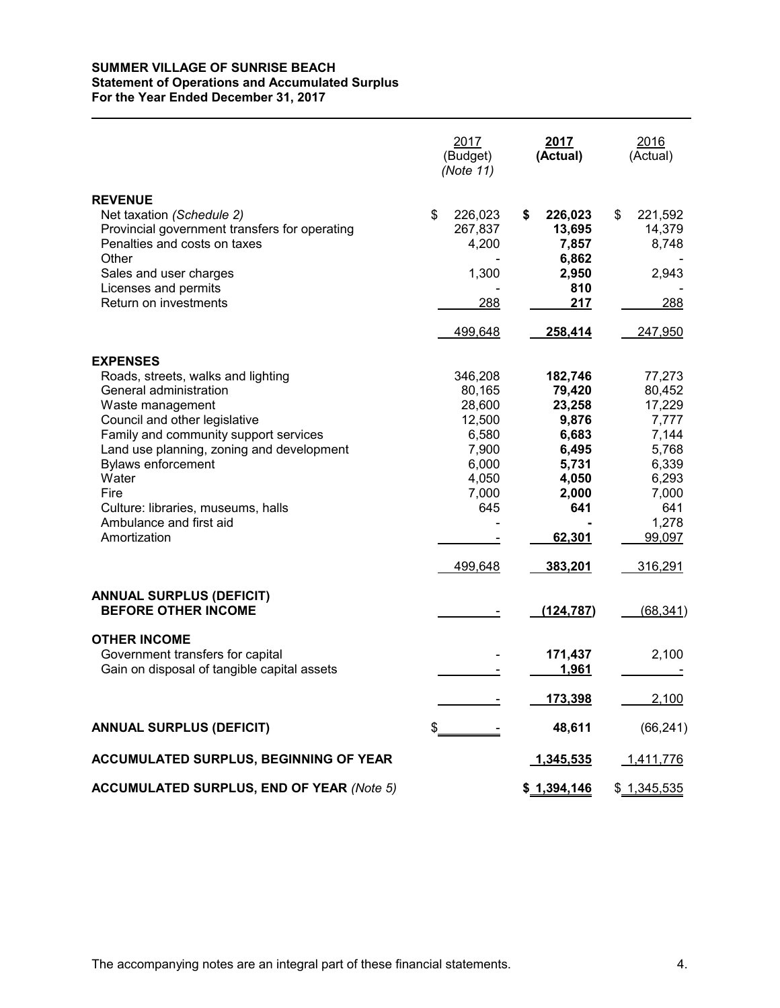### **SUMMER VILLAGE OF SUNRISE BEACH Statement of Operations and Accumulated Surplus For the Year Ended December 31, 2017**

|                                                                                                                                                                                                                                                                                                                                                           | 2017<br>(Budget)<br>(Note 11)                                                                        | 2017<br>(Actual)                                                                                              | 2016<br>(Actual)                                                                                                      |
|-----------------------------------------------------------------------------------------------------------------------------------------------------------------------------------------------------------------------------------------------------------------------------------------------------------------------------------------------------------|------------------------------------------------------------------------------------------------------|---------------------------------------------------------------------------------------------------------------|-----------------------------------------------------------------------------------------------------------------------|
| <b>REVENUE</b><br>Net taxation (Schedule 2)<br>Provincial government transfers for operating<br>Penalties and costs on taxes<br>Other<br>Sales and user charges<br>Licenses and permits<br>Return on investments                                                                                                                                          | \$<br>226,023<br>267,837<br>4,200<br>1,300<br>288<br>499,648                                         | \$<br>226,023<br>13,695<br>7,857<br>6,862<br>2,950<br>810<br>217<br>258,414                                   | \$<br>221,592<br>14,379<br>8,748<br>2,943<br>288<br>247,950                                                           |
|                                                                                                                                                                                                                                                                                                                                                           |                                                                                                      |                                                                                                               |                                                                                                                       |
| <b>EXPENSES</b><br>Roads, streets, walks and lighting<br>General administration<br>Waste management<br>Council and other legislative<br>Family and community support services<br>Land use planning, zoning and development<br><b>Bylaws enforcement</b><br>Water<br>Fire<br>Culture: libraries, museums, halls<br>Ambulance and first aid<br>Amortization | 346,208<br>80,165<br>28,600<br>12,500<br>6,580<br>7,900<br>6,000<br>4,050<br>7,000<br>645<br>499,648 | 182,746<br>79,420<br>23,258<br>9,876<br>6,683<br>6,495<br>5,731<br>4,050<br>2,000<br>641<br>62,301<br>383,201 | 77,273<br>80,452<br>17,229<br>7,777<br>7,144<br>5,768<br>6,339<br>6,293<br>7,000<br>641<br>1,278<br>99,097<br>316,291 |
| <b>ANNUAL SURPLUS (DEFICIT)</b>                                                                                                                                                                                                                                                                                                                           |                                                                                                      |                                                                                                               |                                                                                                                       |
| <b>BEFORE OTHER INCOME</b>                                                                                                                                                                                                                                                                                                                                |                                                                                                      | (124, 787)                                                                                                    | (68, 341)                                                                                                             |
| <b>OTHER INCOME</b><br>Government transfers for capital<br>Gain on disposal of tangible capital assets                                                                                                                                                                                                                                                    |                                                                                                      | 171,437<br>1,961<br>173,398                                                                                   | 2,100<br>2,100                                                                                                        |
| <b>ANNUAL SURPLUS (DEFICIT)</b>                                                                                                                                                                                                                                                                                                                           | \$                                                                                                   | 48,611                                                                                                        | (66, 241)                                                                                                             |
| ACCUMULATED SURPLUS, BEGINNING OF YEAR                                                                                                                                                                                                                                                                                                                    |                                                                                                      | 1,345,535                                                                                                     | 1,411,776                                                                                                             |
| <b>ACCUMULATED SURPLUS, END OF YEAR (Note 5)</b>                                                                                                                                                                                                                                                                                                          |                                                                                                      | \$1,394,146                                                                                                   |                                                                                                                       |
|                                                                                                                                                                                                                                                                                                                                                           |                                                                                                      |                                                                                                               | \$ 1,345,535                                                                                                          |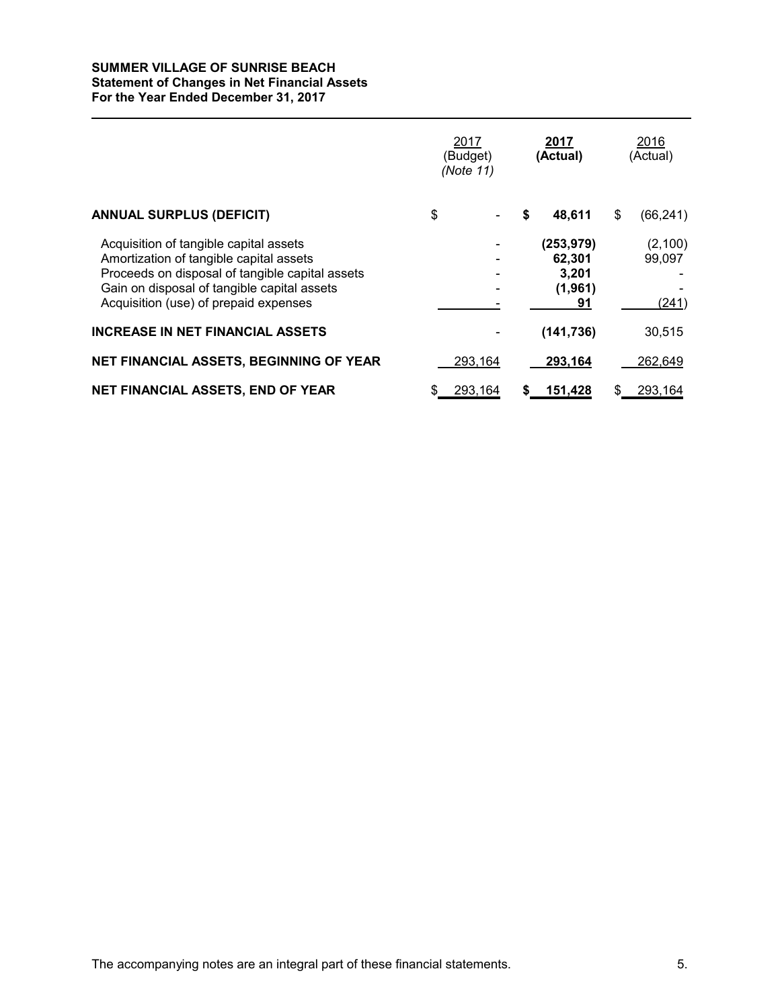#### **SUMMER VILLAGE OF SUNRISE BEACH Statement of Changes in Net Financial Assets For the Year Ended December 31, 2017**

|                                                                                                                                                                                                                              | 2017<br>(Budget)<br>(Note 11) |    | 2017<br>(Actual)                               | 2016<br>(Actual)            |
|------------------------------------------------------------------------------------------------------------------------------------------------------------------------------------------------------------------------------|-------------------------------|----|------------------------------------------------|-----------------------------|
| <b>ANNUAL SURPLUS (DEFICIT)</b>                                                                                                                                                                                              | \$                            | \$ | 48,611                                         | \$<br>(66, 241)             |
| Acquisition of tangible capital assets<br>Amortization of tangible capital assets<br>Proceeds on disposal of tangible capital assets<br>Gain on disposal of tangible capital assets<br>Acquisition (use) of prepaid expenses |                               |    | (253, 979)<br>62,301<br>3,201<br>(1,961)<br>91 | (2, 100)<br>99.097<br>(241) |
| <b>INCREASE IN NET FINANCIAL ASSETS</b>                                                                                                                                                                                      |                               |    | (141, 736)                                     | 30,515                      |
| NET FINANCIAL ASSETS, BEGINNING OF YEAR                                                                                                                                                                                      | 293,164                       |    | 293,164                                        | 262,649                     |
| NET FINANCIAL ASSETS, END OF YEAR                                                                                                                                                                                            | \$<br>293,164                 | S  | 151,428                                        | 293,164                     |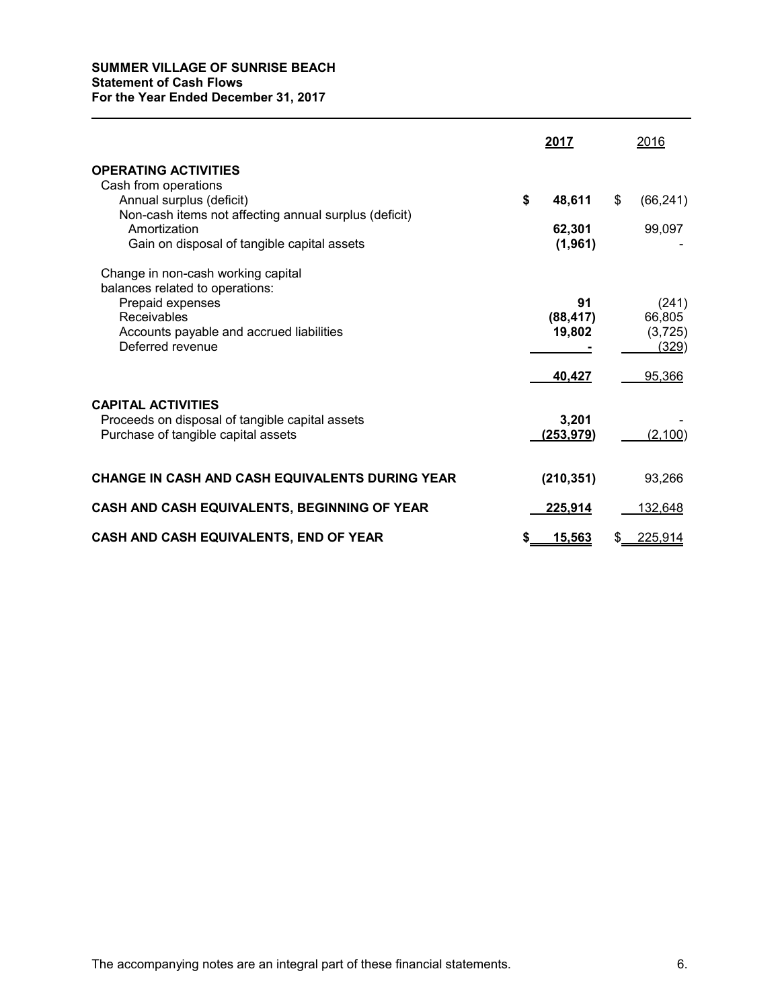# **SUMMER VILLAGE OF SUNRISE BEACH Statement of Cash Flows For the Year Ended December 31, 2017**

|                                                                                                                     | 2017                      | 2016                       |
|---------------------------------------------------------------------------------------------------------------------|---------------------------|----------------------------|
| <b>OPERATING ACTIVITIES</b>                                                                                         |                           |                            |
| Cash from operations<br>Annual surplus (deficit)<br>Non-cash items not affecting annual surplus (deficit)           | \$<br>48,611              | \$<br>(66, 241)            |
| Amortization<br>Gain on disposal of tangible capital assets                                                         | 62,301<br>(1,961)         | 99,097                     |
| Change in non-cash working capital<br>balances related to operations:                                               |                           |                            |
| Prepaid expenses<br>Receivables<br>Accounts payable and accrued liabilities                                         | 91<br>(88, 417)<br>19,802 | (241)<br>66,805<br>(3,725) |
| Deferred revenue                                                                                                    |                           | (329)                      |
|                                                                                                                     | 40,427                    | 95,366                     |
| <b>CAPITAL ACTIVITIES</b><br>Proceeds on disposal of tangible capital assets<br>Purchase of tangible capital assets | 3,201<br>(253,979)        | (2,100)                    |
| <b>CHANGE IN CASH AND CASH EQUIVALENTS DURING YEAR</b>                                                              | (210, 351)                | 93,266                     |
| CASH AND CASH EQUIVALENTS, BEGINNING OF YEAR                                                                        | 225,914                   | <u>132,648</u>             |
| CASH AND CASH EQUIVALENTS, END OF YEAR                                                                              | \$<br><u>15,563</u>       | 225,914                    |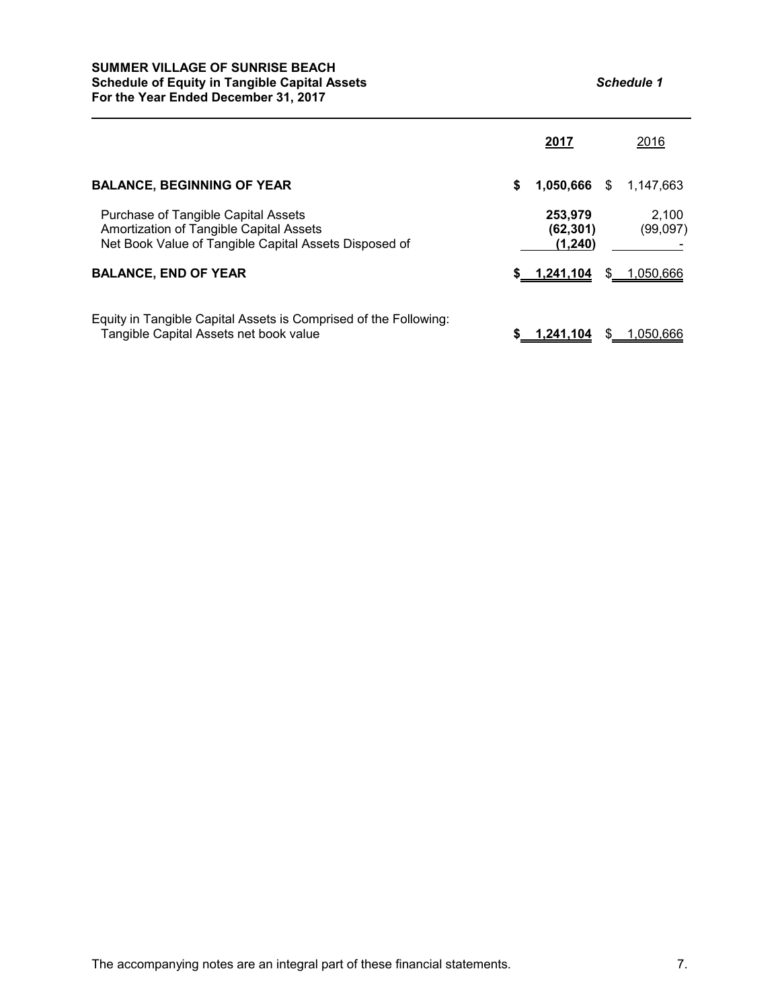#### **SUMMER VILLAGE OF SUNRISE BEACH Schedule of Equity in Tangible Capital Assets** *Schedule 1* **For the Year Ended December 31, 2017**

|                                                                                                                                         |   | 2017                            |   | 2016              |
|-----------------------------------------------------------------------------------------------------------------------------------------|---|---------------------------------|---|-------------------|
| <b>BALANCE, BEGINNING OF YEAR</b>                                                                                                       | S | 1,050,666                       | S | 1,147,663         |
| Purchase of Tangible Capital Assets<br>Amortization of Tangible Capital Assets<br>Net Book Value of Tangible Capital Assets Disposed of |   | 253.979<br>(62,301)<br>(1, 240) |   | 2.100<br>(99,097) |
| <b>BALANCE, END OF YEAR</b>                                                                                                             |   | \$ 1,241,104                    |   | \$ 1,050,666      |
| Equity in Tangible Capital Assets is Comprised of the Following:<br>Tangible Capital Assets net book value                              |   | 1.241.104                       |   | 1.050.666         |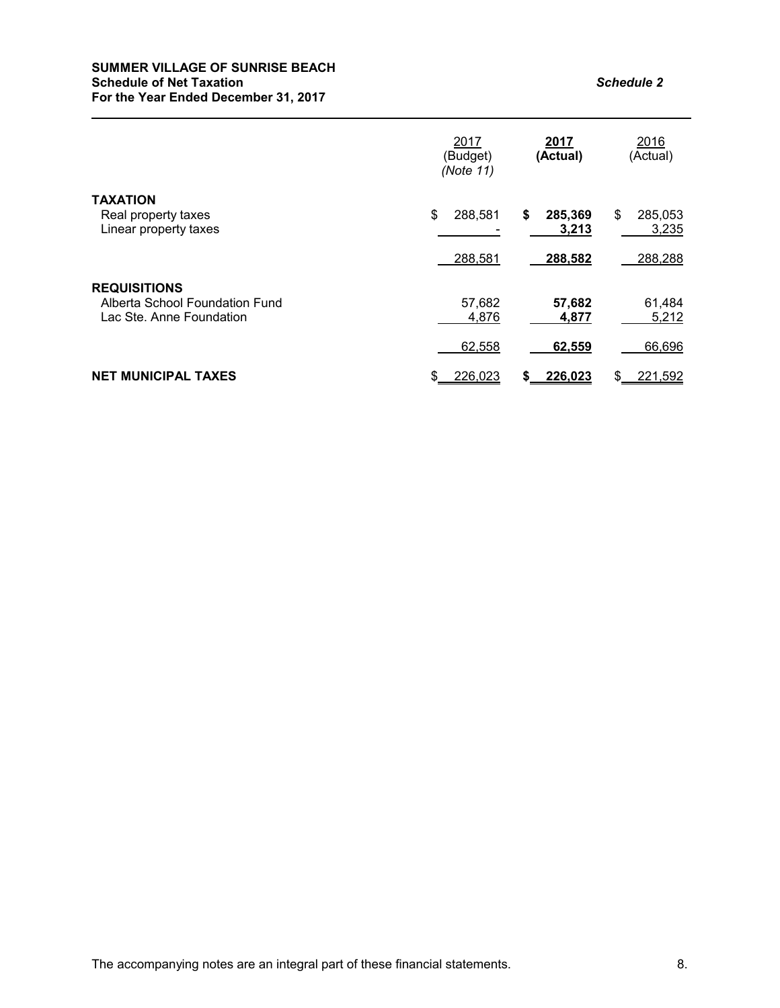### **SUMMER VILLAGE OF SUNRISE BEACH Schedule of Net Taxation** *Schedule 2* **For the Year Ended December 31, 2017**

|                                                                                   | 2017<br>(Budget)<br>(Note 11) | 2017<br>(Actual)       | 2016<br>(Actual)       |
|-----------------------------------------------------------------------------------|-------------------------------|------------------------|------------------------|
| <b>TAXATION</b><br>Real property taxes<br>Linear property taxes                   | \$<br>288,581                 | \$<br>285,369<br>3,213 | \$<br>285,053<br>3,235 |
|                                                                                   | 288,581                       | 288,582                | 288,288                |
| <b>REQUISITIONS</b><br>Alberta School Foundation Fund<br>Lac Ste. Anne Foundation | 57,682<br>4,876               | 57,682<br>4,877        | 61,484<br>5,212        |
|                                                                                   | 62,558                        | 62,559                 | 66,696                 |
| <b>NET MUNICIPAL TAXES</b>                                                        | 226,023<br>S                  | 226,023<br>S           | 221,592<br>\$          |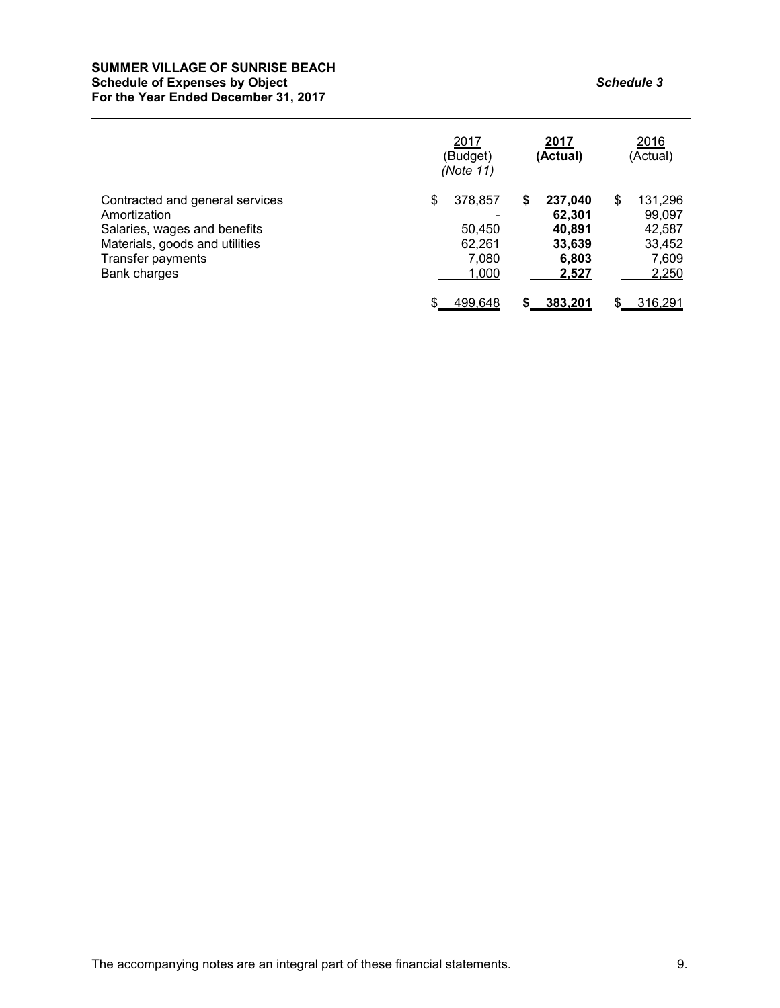#### **SUMMER VILLAGE OF SUNRISE BEACH Schedule of Expenses by Object** *Schedule 3* **For the Year Ended December 31, 2017**

|                                                                                                                                                        |   | 2017<br>(Budget)<br>(Note 11)                 |   | 2017<br>(Actual)                                        | 2016<br>(Actual)                                              |
|--------------------------------------------------------------------------------------------------------------------------------------------------------|---|-----------------------------------------------|---|---------------------------------------------------------|---------------------------------------------------------------|
| Contracted and general services<br>Amortization<br>Salaries, wages and benefits<br>Materials, goods and utilities<br>Transfer payments<br>Bank charges | S | 378,857<br>50,450<br>62.261<br>7,080<br>1,000 | S | 237,040<br>62,301<br>40,891<br>33.639<br>6,803<br>2,527 | \$<br>131,296<br>99,097<br>42,587<br>33,452<br>7,609<br>2,250 |
|                                                                                                                                                        | S | 499,648                                       | S | 383.201                                                 | \$<br>316.291                                                 |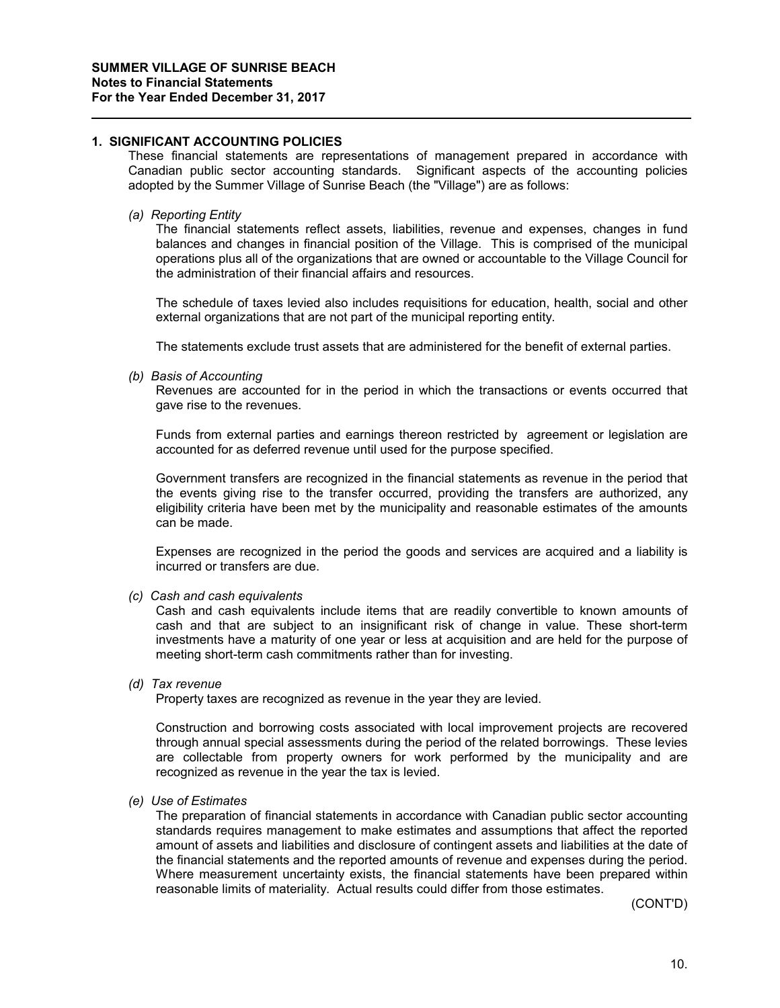## **1. SIGNIFICANT ACCOUNTING POLICIES**

These financial statements are representations of management prepared in accordance with Canadian public sector accounting standards. Significant aspects of the accounting policies adopted by the Summer Village of Sunrise Beach (the "Village") are as follows:

*(a) Reporting Entity*

The financial statements reflect assets, liabilities, revenue and expenses, changes in fund balances and changes in financial position of the Village. This is comprised of the municipal operations plus all of the organizations that are owned or accountable to the Village Council for the administration of their financial affairs and resources.

The schedule of taxes levied also includes requisitions for education, health, social and other external organizations that are not part of the municipal reporting entity.

The statements exclude trust assets that are administered for the benefit of external parties.

*(b) Basis of Accounting*

Revenues are accounted for in the period in which the transactions or events occurred that gave rise to the revenues.

Funds from external parties and earnings thereon restricted by agreement or legislation are accounted for as deferred revenue until used for the purpose specified.

Government transfers are recognized in the financial statements as revenue in the period that the events giving rise to the transfer occurred, providing the transfers are authorized, any eligibility criteria have been met by the municipality and reasonable estimates of the amounts can be made.

Expenses are recognized in the period the goods and services are acquired and a liability is incurred or transfers are due.

*(c) Cash and cash equivalents*

Cash and cash equivalents include items that are readily convertible to known amounts of cash and that are subject to an insignificant risk of change in value. These short-term investments have a maturity of one year or less at acquisition and are held for the purpose of meeting short-term cash commitments rather than for investing.

*(d) Tax revenue*

Property taxes are recognized as revenue in the year they are levied.

Construction and borrowing costs associated with local improvement projects are recovered through annual special assessments during the period of the related borrowings. These levies are collectable from property owners for work performed by the municipality and are recognized as revenue in the year the tax is levied.

*(e) Use of Estimates*

The preparation of financial statements in accordance with Canadian public sector accounting standards requires management to make estimates and assumptions that affect the reported amount of assets and liabilities and disclosure of contingent assets and liabilities at the date of the financial statements and the reported amounts of revenue and expenses during the period. Where measurement uncertainty exists, the financial statements have been prepared within reasonable limits of materiality. Actual results could differ from those estimates.

(CONT'D)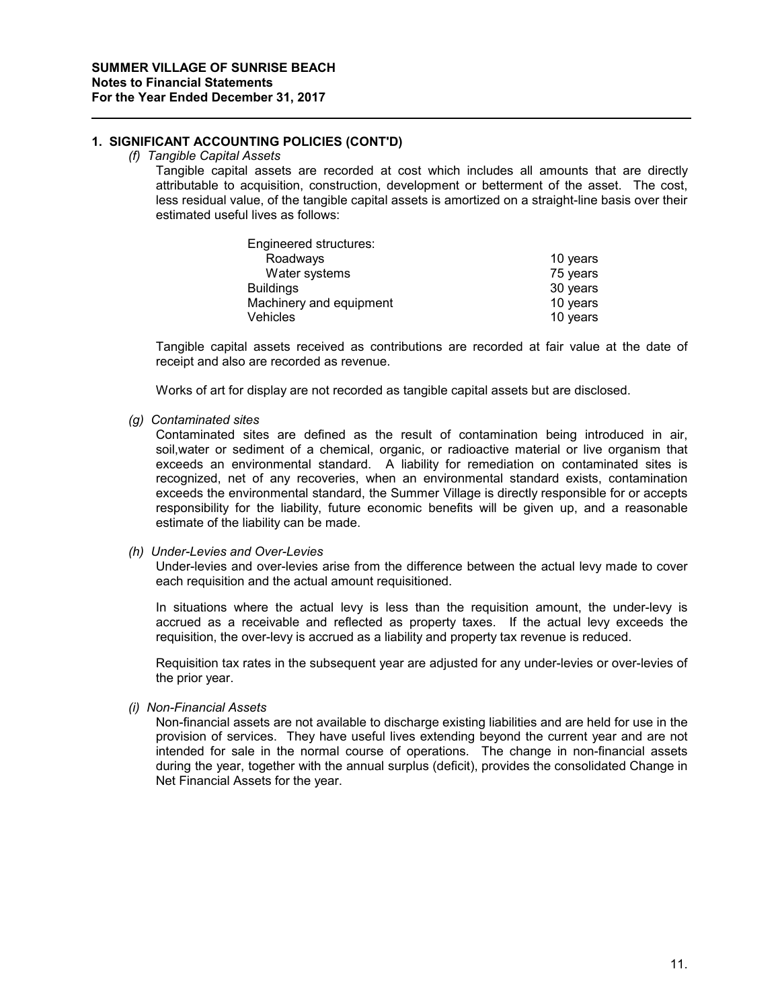# **1. SIGNIFICANT ACCOUNTING POLICIES (CONT'D)**

#### *(f) Tangible Capital Assets*

Tangible capital assets are recorded at cost which includes all amounts that are directly attributable to acquisition, construction, development or betterment of the asset. The cost, less residual value, of the tangible capital assets is amortized on a straight-line basis over their estimated useful lives as follows:

| Engineered structures:  |          |
|-------------------------|----------|
| Roadways                | 10 years |
| Water systems           | 75 years |
| <b>Buildings</b>        | 30 years |
| Machinery and equipment | 10 years |
| <b>Vehicles</b>         | 10 years |

Tangible capital assets received as contributions are recorded at fair value at the date of receipt and also are recorded as revenue.

Works of art for display are not recorded as tangible capital assets but are disclosed.

#### *(g) Contaminated sites*

Contaminated sites are defined as the result of contamination being introduced in air, soil,water or sediment of a chemical, organic, or radioactive material or live organism that exceeds an environmental standard. A liability for remediation on contaminated sites is recognized, net of any recoveries, when an environmental standard exists, contamination exceeds the environmental standard, the Summer Village is directly responsible for or accepts responsibility for the liability, future economic benefits will be given up, and a reasonable estimate of the liability can be made.

#### *(h) Under-Levies and Over-Levies*

Under-levies and over-levies arise from the difference between the actual levy made to cover each requisition and the actual amount requisitioned.

In situations where the actual levy is less than the requisition amount, the under-levy is accrued as a receivable and reflected as property taxes. If the actual levy exceeds the requisition, the over-levy is accrued as a liability and property tax revenue is reduced.

Requisition tax rates in the subsequent year are adjusted for any under-levies or over-levies of the prior year.

*(i) Non-Financial Assets*

Non-financial assets are not available to discharge existing liabilities and are held for use in the provision of services. They have useful lives extending beyond the current year and are not intended for sale in the normal course of operations. The change in non-financial assets during the year, together with the annual surplus (deficit), provides the consolidated Change in Net Financial Assets for the year.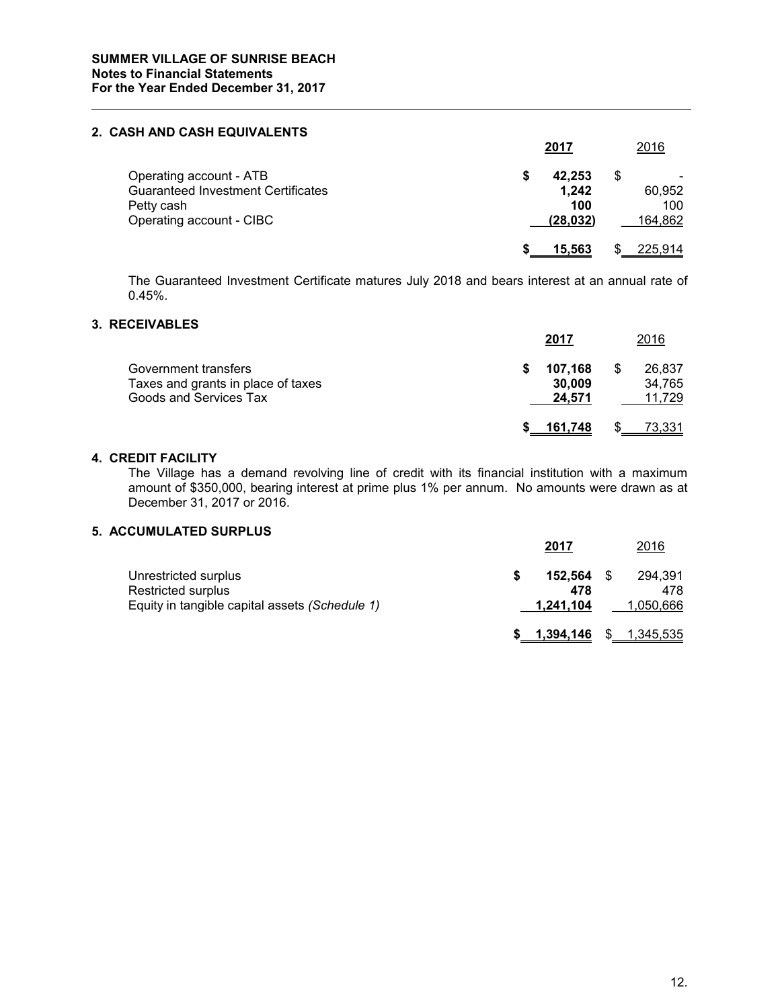#### **2. CASH AND CASH EQUIVALENTS**

|                                                                                                                | 2017                                | 2016                          |
|----------------------------------------------------------------------------------------------------------------|-------------------------------------|-------------------------------|
| Operating account - ATB<br><b>Guaranteed Investment Certificates</b><br>Petty cash<br>Operating account - CIBC | 42,253<br>1,242<br>100<br>(28, 032) | S<br>60,952<br>100<br>164,862 |
|                                                                                                                | 15.563                              | 225,914                       |

The Guaranteed Investment Certificate matures July 2018 and bears interest at an annual rate of 0.45%.

# **3. RECEIVABLES**

|                                                                                      | 2017                        | 2016                             |
|--------------------------------------------------------------------------------------|-----------------------------|----------------------------------|
| Government transfers<br>Taxes and grants in place of taxes<br>Goods and Services Tax | 107.168<br>30,009<br>24,571 | \$<br>26.837<br>34.765<br>11.729 |
|                                                                                      | 161.748                     | 73,331                           |

#### **4. CREDIT FACILITY**

The Village has a demand revolving line of credit with its financial institution with a maximum amount of \$350,000, bearing interest at prime plus 1% per annum. No amounts were drawn as at December 31, 2017 or 2016.

# **5. ACCUMULATED SURPLUS**

|                                                                                              | 2017                 |     | 2016                        |
|----------------------------------------------------------------------------------------------|----------------------|-----|-----------------------------|
| Unrestricted surplus<br>Restricted surplus<br>Equity in tangible capital assets (Schedule 1) | 152.564<br>1.241.104 | 478 | 294.391<br>478<br>1,050,666 |
|                                                                                              | 1,394,146            |     | \$1,345,535                 |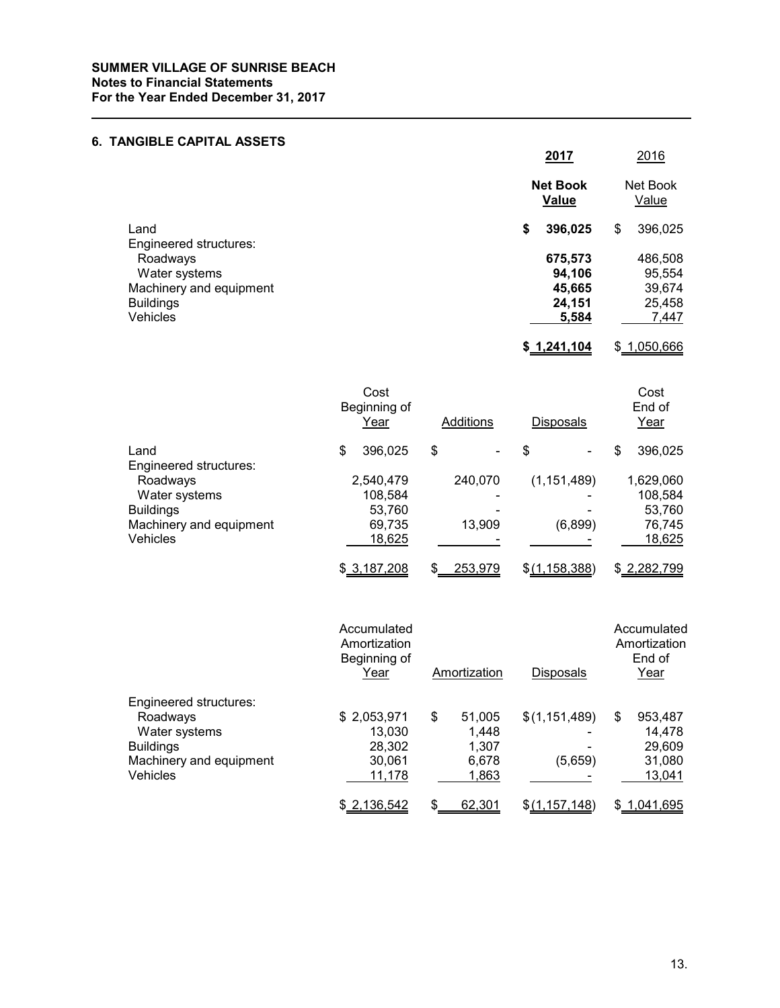# **6. TANGIBLE CAPITAL ASSETS**

| ,,,,,,,,,,,,,,,,,,,,,,,,       | <u>2017</u>                     | 2016              |
|--------------------------------|---------------------------------|-------------------|
|                                | <b>Net Book</b><br><b>Value</b> | Net Book<br>Value |
| Land<br>Engineered structures: | 396,025<br>\$                   | 396,025<br>\$     |
| Roadways                       | 675,573                         | 486,508           |
| Water systems                  | 94,106                          | 95,554            |
| Machinery and equipment        | 45,665                          | 39,674            |
| <b>Buildings</b>               | 24,151                          | 25,458            |
| <b>Vehicles</b>                | 5,584                           | 7,447             |
|                                |                                 |                   |

**\$ 1,241,104** \$ 1,050,666

|                         | Cost<br>Beginning of<br>Year |             |    | <b>Additions</b> | <b>Disposals</b> | Cost<br>End of<br>Year |             |
|-------------------------|------------------------------|-------------|----|------------------|------------------|------------------------|-------------|
| Land                    | \$                           | 396,025     | \$ |                  | \$               | \$                     | 396,025     |
| Engineered structures:  |                              |             |    |                  |                  |                        |             |
| Roadways                |                              | 2,540,479   |    | 240.070          | (1, 151, 489)    |                        | 1,629,060   |
| Water systems           |                              | 108,584     |    |                  |                  |                        | 108,584     |
| <b>Buildings</b>        |                              | 53,760      |    |                  |                  |                        | 53,760      |
| Machinery and equipment |                              | 69,735      |    | 13,909           | (6,899)          |                        | 76,745      |
| <b>Vehicles</b>         |                              | 18,625      |    |                  |                  |                        | 18,625      |
|                         |                              | \$3,187,208 | S  | 253,979          | \$(1, 158, 388)  |                        | \$2,282,799 |

|                         | Accumulated<br>Amortization<br>Beginning of<br>Year |    | Amortization | <b>Disposals</b> | Accumulated<br>Amortization<br>End of<br>Year |             |
|-------------------------|-----------------------------------------------------|----|--------------|------------------|-----------------------------------------------|-------------|
| Engineered structures:  |                                                     |    |              |                  |                                               |             |
| Roadways                | \$2,053,971                                         | \$ | 51,005       | \$(1, 151, 489)  | S                                             | 953,487     |
| Water systems           | 13.030                                              |    | 1,448        |                  |                                               | 14.478      |
| <b>Buildings</b>        | 28.302                                              |    | 1.307        |                  |                                               | 29,609      |
| Machinery and equipment | 30,061                                              |    | 6,678        | (5,659)          |                                               | 31,080      |
| <b>Vehicles</b>         | 11,178                                              |    | 1,863        |                  |                                               | 13,041      |
|                         | \$2,136,542                                         | S  | 62,301       | \$(1, 157, 148)  |                                               | \$1,041,695 |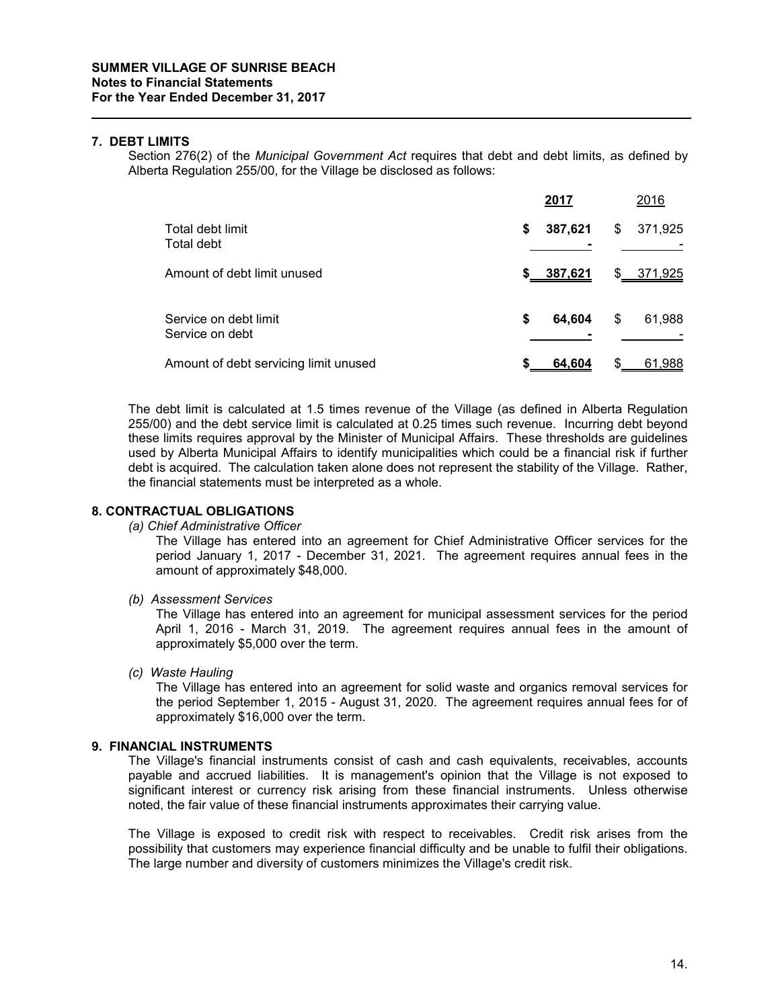#### **7. DEBT LIMITS**

Section 276(2) of the *Municipal Government Act* requires that debt and debt limits, as defined by Alberta Regulation 255/00, for the Village be disclosed as follows:

|                                          |    | 2017    | 2016          |
|------------------------------------------|----|---------|---------------|
| Total debt limit<br>Total debt           | \$ | 387,621 | \$<br>371,925 |
| Amount of debt limit unused              | s. | 387,621 | \$ 371,925    |
| Service on debt limit<br>Service on debt | \$ | 64,604  | \$<br>61,988  |
| Amount of debt servicing limit unused    | \$ | 64,604  | 61,988        |

The debt limit is calculated at 1.5 times revenue of the Village (as defined in Alberta Regulation 255/00) and the debt service limit is calculated at 0.25 times such revenue. Incurring debt beyond these limits requires approval by the Minister of Municipal Affairs. These thresholds are guidelines used by Alberta Municipal Affairs to identify municipalities which could be a financial risk if further debt is acquired. The calculation taken alone does not represent the stability of the Village. Rather, the financial statements must be interpreted as a whole.

### **8. CONTRACTUAL OBLIGATIONS**

#### *(a) Chief Administrative Officer*

The Village has entered into an agreement for Chief Administrative Officer services for the period January 1, 2017 - December 31, 2021. The agreement requires annual fees in the amount of approximately \$48,000.

*(b) Assessment Services*

The Village has entered into an agreement for municipal assessment services for the period April 1, 2016 - March 31, 2019. The agreement requires annual fees in the amount of approximately \$5,000 over the term.

*(c) Waste Hauling*

The Village has entered into an agreement for solid waste and organics removal services for the period September 1, 2015 - August 31, 2020. The agreement requires annual fees for of approximately \$16,000 over the term.

#### **9. FINANCIAL INSTRUMENTS**

The Village's financial instruments consist of cash and cash equivalents, receivables, accounts payable and accrued liabilities. It is management's opinion that the Village is not exposed to significant interest or currency risk arising from these financial instruments. Unless otherwise noted, the fair value of these financial instruments approximates their carrying value.

The Village is exposed to credit risk with respect to receivables. Credit risk arises from the possibility that customers may experience financial difficulty and be unable to fulfil their obligations. The large number and diversity of customers minimizes the Village's credit risk.